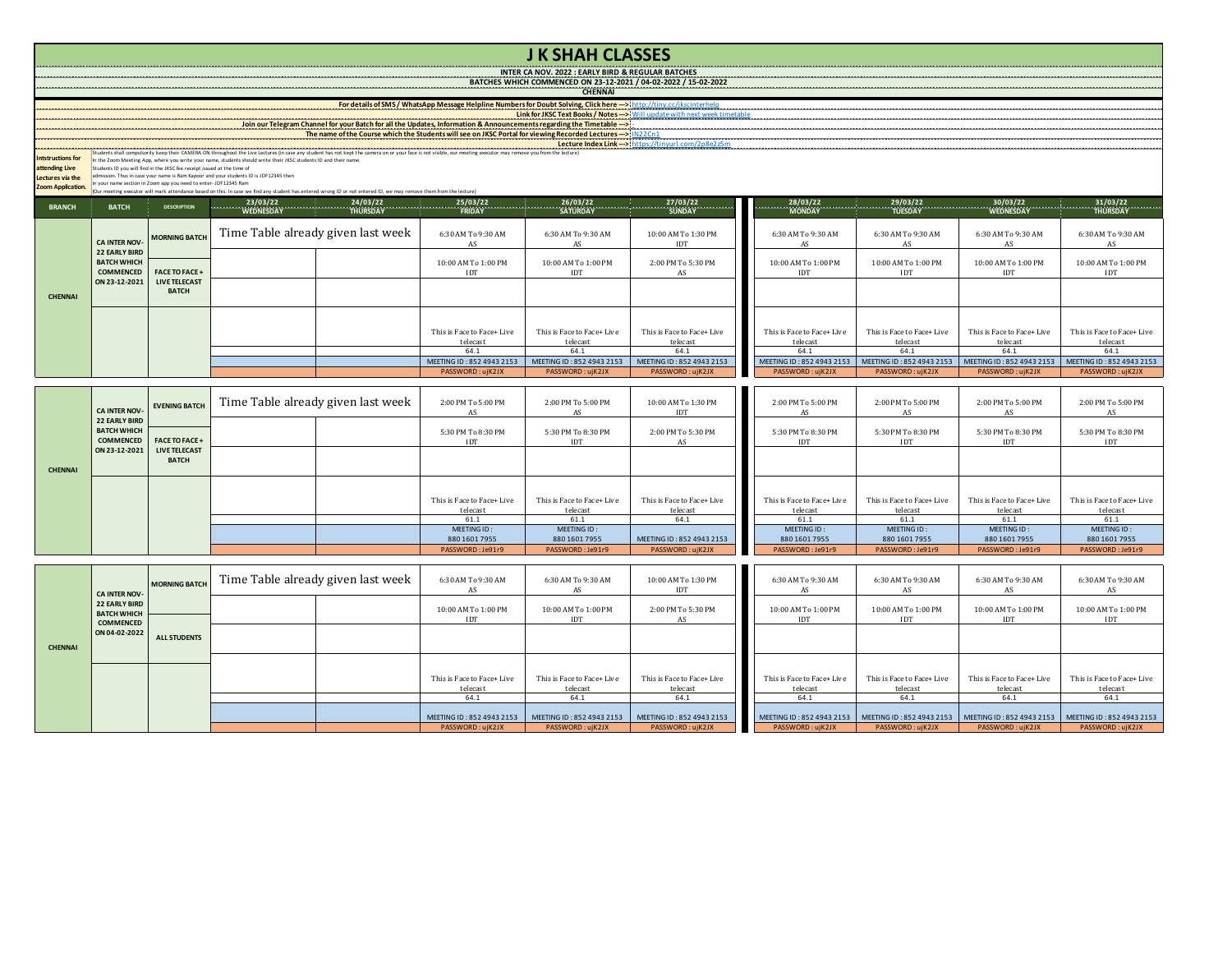## **J K SHAH CLASSES**

**INTER CA NOV. 2022 : EARLY BIRD & REGULAR BATCHES BATCHES WHICH COMMENCED ON 23-12-2021 / 04-02-2022 / 15-02-2022**

**CHENNAI** 

**Lecture Index Link --->**

**Link for JKSC Text Books / Notes --->** Will update with next week timetable **For details of SMS / WhatsApp Message Helpline Numbers for Doubt Solving, Click here --->** http://tiny.cc/jkscinterhelp

## Join our Telegram Channel for your Batch for all the Updates, Information & Announcements regarding the Timetable<br>The name of the Course which the Students will see on JKSC Portal for viewing Recorded Lectures ---> IN22Cn1

Students shall computeriny keep their CAMERA ON throughout the Une Lecture In case any student has not keept the camera on or your face is not visible, our meeting executor may remove you from the lecture)<br>The fit Comment

**Intstructions for** 

**attending Live** 

**Lectures via the** 

**Zoom Application.**

| <b>BRANCH</b>  | <b>BATCH</b>                                                              | <b>DESCRIPTION</b>            | $\begin{array}{ccc}\n& 23/03/22 \\ & \text{WEDNESDAY}\n\end{array}$ | $\frac{24/03/22}{\text{THURSDAY}}$ | <u>25/03/22 </u>           |                            | 26/03/22 27/03/22<br>SATURDAY SUNDAY SUNDAY | 28/03/22                                            |                            |                                                     |                            |
|----------------|---------------------------------------------------------------------------|-------------------------------|---------------------------------------------------------------------|------------------------------------|----------------------------|----------------------------|---------------------------------------------|-----------------------------------------------------|----------------------------|-----------------------------------------------------|----------------------------|
|                |                                                                           |                               |                                                                     |                                    | <b>FRIDAY</b>              |                            |                                             |                                                     |                            |                                                     |                            |
|                | <b>CA INTER NOV-</b> MORNING BATCH<br>22 EARLY BIRD<br><b>BATCH WHICH</b> |                               | Time Table already given last week                                  |                                    | 6:30 AM To 9:30 AM         | 6:30 AM To 9:30 AM<br>AS   | 10:00 AM To 1:30 PM<br><b>IDT</b>           | 6:30 AM To 9:30 AM<br>AS                            | 6:30 AM To 9:30 AM<br>AS   | 6:30 AM To 9:30 AM<br>AS                            | 6:30 AM To 9:30 AM<br>AS   |
|                |                                                                           | COMMENCED   FACE TO FACE +    |                                                                     |                                    | 10:00 AM To 1:00 PM<br>IDT | 10:00 AM To 1:00 PM<br>IDT | 2:00 PM To 5:30 PM<br>AS                    | 10:00 AM To 1:00 PM<br>IDT                          | 10:00 AM To 1:00 PM<br>IDT | 10:00 AM To 1:00 PM<br>IDT                          | 10:00 AM To 1:00 PM<br>IDT |
| <b>CHENNAI</b> | ON 23-12-2021                                                             | LIVE TELECAST<br><b>BATCH</b> |                                                                     |                                    |                            |                            |                                             |                                                     |                            |                                                     |                            |
|                |                                                                           |                               |                                                                     |                                    | This is Face to Face+ Live | This is Face to Face+ Live | This is Face to Face+ Live                  | This is Face to Face+ Live                          | This is Face to Face+ Live | This is Face to Face+ Live                          | This is Face to Face+ Live |
|                |                                                                           |                               |                                                                     |                                    | telecast                   | telecast                   | telecast                                    | telecast                                            | telecast                   | telecast                                            | telecast                   |
|                |                                                                           |                               |                                                                     |                                    | 64.1                       | 64.1                       | 64.1                                        | 64.1                                                | 64.1                       | 64.1                                                | 64.1                       |
|                |                                                                           |                               |                                                                     |                                    | MEETING ID: 852 4943 2153  | MEETING ID: 852 4943 2153  | MEETING ID: 852 4943 2153                   | MEETING ID: 852 4943 2153 MEETING ID: 852 4943 2153 |                            | MEETING ID: 852 4943 2153 MEETING ID: 852 4943 2153 |                            |
|                |                                                                           |                               |                                                                     |                                    | PASSWORD: uiK2JX           | PASSWORD: uiK2JX           | PASSWORD: uiK2JX                            | PASSWORD: ujK2JX                                    | PASSWORD: uiK2JX           | PASSWORD: uiK2JX                                    | PASSWORD: ujK2JX           |

|                |                                                                               | CA INTER NOV- EVENING BATCH          | Time Table already given last week | 2:00 PM To 5:00 PM                     | 2:00 PM To 5:00 PM<br>AS               | 10:00 AM To 1:30 PM<br>IDT             | 2:00 PM To 5:00 PM                     | 2:00 PM To 5:00 PM                     | 2:00 PM To 5:00 PM                     | 2:00 PM To 5:00 PM                     |
|----------------|-------------------------------------------------------------------------------|--------------------------------------|------------------------------------|----------------------------------------|----------------------------------------|----------------------------------------|----------------------------------------|----------------------------------------|----------------------------------------|----------------------------------------|
|                | <b>22 EARLY BIRD</b><br><b>BATCH WHICH</b><br><b>COMMENCED FACE TO FACE +</b> |                                      |                                    | 5:30 PM To 8:30 PM<br>IDT              | 5:30 PM To 8:30 PM<br>IDT              | 2:00 PM To 5:30 PM<br>AS               | 5:30 PM To 8:30 PM<br><b>IDT</b>       | 5:30 PM To 8:30 PM<br>IDT              | 5:30 PM To 8:30 PM<br>IDT              | 5:30 PM To 8:30 PM<br>IDT              |
| <b>CHENNAI</b> | ON 23-12-2021                                                                 | <b>LIVE TELECAST</b><br><b>BATCH</b> |                                    |                                        |                                        |                                        |                                        |                                        |                                        |                                        |
|                |                                                                               |                                      |                                    |                                        |                                        |                                        |                                        |                                        |                                        |                                        |
|                |                                                                               |                                      |                                    | This is Face to Face+ Live<br>telecast | This is Face to Face+ Live<br>telecast | This is Face to Face+ Live<br>telecast | This is Face to Face+ Live<br>telecast | This is Face to Face+ Live<br>telecast | This is Face to Face+ Live<br>telecast | This is Face to Face+ Live<br>telecast |
|                |                                                                               |                                      |                                    | 61.1                                   | 61.1                                   | 64.1                                   | 61.1                                   | 61.1                                   | 61.1                                   | 61.1                                   |
|                |                                                                               |                                      |                                    | MEETING ID:                            | MEETING ID:                            |                                        | MEETING ID:                            | MEETING ID:                            | MEETING ID:                            | MEETING ID:                            |
|                |                                                                               |                                      |                                    | 880 1601 7955                          | 880 1601 7955                          | MEETING ID: 852 4943 2153              | 880 1601 7955                          | 880 1601 7955                          | 880 1601 7955                          | 880 1601 7955                          |
|                |                                                                               |                                      |                                    | PASSWORD: Je91r9                       | PASSWORD: Je91r9                       | PASSWORD: ujK2JX                       | PASSWORD: Je91r9                       | PASSWORD: Je91r9                       | PASSWORD: Je91r9                       | PASSWORD: Je91r9                       |

|                | <b>CA INTER NOV-</b><br><b>22 EARLY BIRD</b><br><b>BATCH WHICH</b><br><b>COMMENCED</b> | <b>MORNING BATCH</b> | Time Table already given last week | 6:30 AM To 9:30 AM                     | 6:30 AM To 9:30 AM                     | 10:00 AM To 1:30 PM                    | 6:30 AM To 9:30 AM                                                                                            | 6:30 AM To 9:30 AM                     | 6:30 AM To 9:30 AM                     | 6:30 AM To 9:30 AM                     |
|----------------|----------------------------------------------------------------------------------------|----------------------|------------------------------------|----------------------------------------|----------------------------------------|----------------------------------------|---------------------------------------------------------------------------------------------------------------|----------------------------------------|----------------------------------------|----------------------------------------|
|                |                                                                                        |                      |                                    | 10:00 AM To 1:00 PM<br><b>IDT</b>      | 10:00 AM To 1:00 PM<br><b>IDT</b>      | 2:00 PM To 5:30 PM                     | 10:00 AM To 1:00 PM<br>IDT                                                                                    | 10:00 AM To 1:00 PM<br>IDT             | 10:00 AM To 1:00 PM<br>IDT             | 10:00 AM To 1:00 PM<br><b>IDT</b>      |
| <b>CHENNAI</b> | ON 04-02-2022                                                                          | <b>ALL STUDENTS</b>  |                                    |                                        |                                        |                                        |                                                                                                               |                                        |                                        |                                        |
|                |                                                                                        |                      |                                    |                                        |                                        |                                        |                                                                                                               |                                        |                                        |                                        |
|                |                                                                                        |                      |                                    | This is Face to Face+ Live<br>telecast | This is Face to Face+ Live<br>telecast | This is Face to Face+ Live<br>telecast | This is Face to Face+ Live<br>telecast                                                                        | This is Face to Face+ Live<br>telecast | This is Face to Face+ Live<br>telecast | This is Face to Face+ Live<br>telecast |
|                |                                                                                        |                      |                                    | 64.1                                   | 64.1                                   | 64.1                                   | 64.1                                                                                                          | 64.1                                   | 64.1                                   | 64.1                                   |
|                |                                                                                        |                      |                                    | MEETING ID: 852 4943 2153              | MEETING ID: 852 4943 2153              | MEETING ID: 852 4943 2153              | MEETING ID: 852 4943 2153   MEETING ID: 852 4943 2153   MEETING ID: 852 4943 2153   MEETING ID: 852 4943 2153 |                                        |                                        |                                        |
|                |                                                                                        |                      |                                    | PASSWORD: ujK2JX                       | PASSWORD: ujK2JX                       | PASSWORD: ujK2JX                       | PASSWORD: ujK2JX                                                                                              | PASSWORD:ujK2JX                        | PASSWORD: uiK2JX                       | PASSWORD:ujK2JX                        |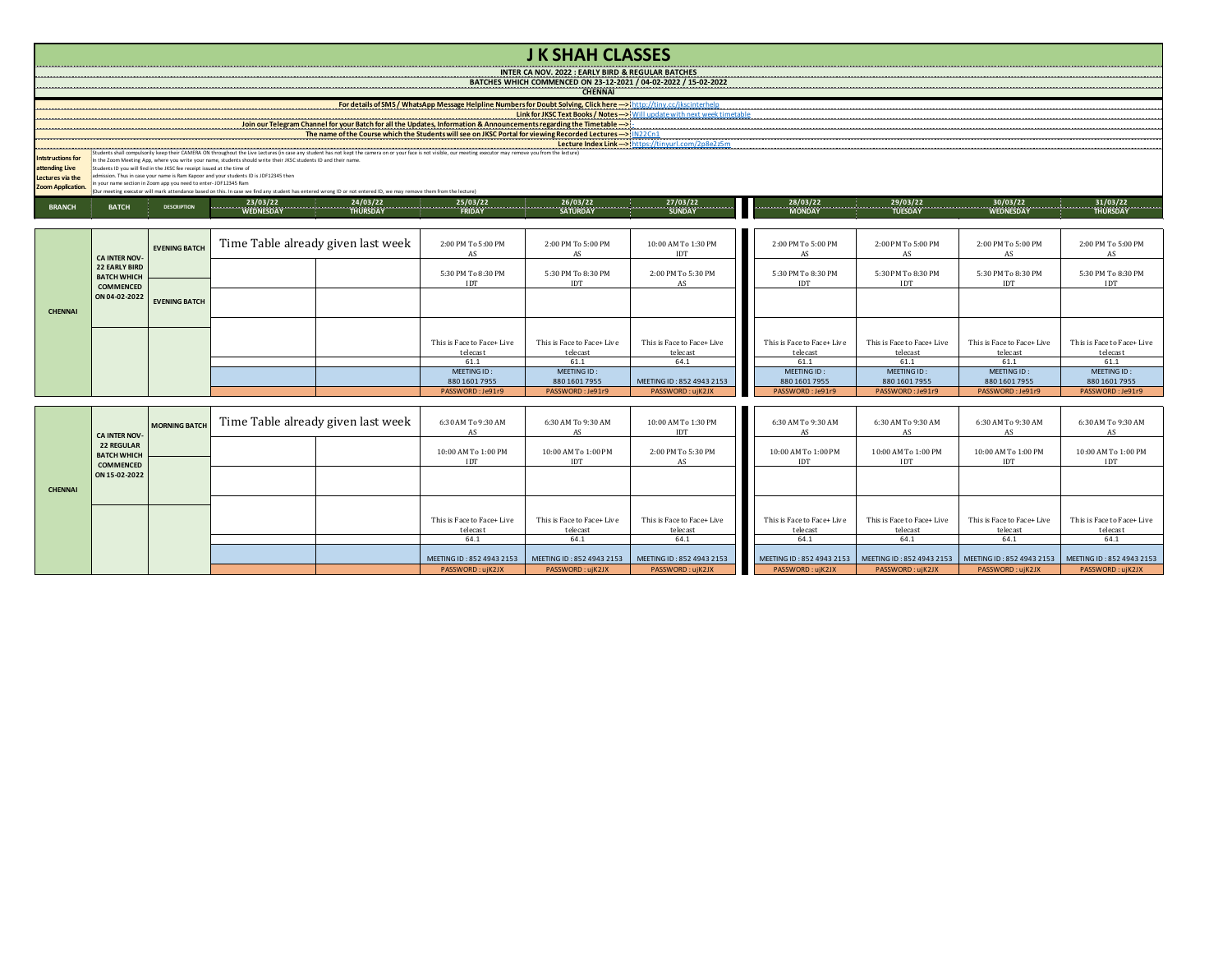|                                                                                                                                                                                                                                                                                                                                                                        |                                                                                                                      |                      |  |                                                                                                                        |                                        | <b>J K SHAH CLASSES</b>                |                                                                                                                                                                                                 |                                        |                                                                                 |                                        |                                        |  |  |
|------------------------------------------------------------------------------------------------------------------------------------------------------------------------------------------------------------------------------------------------------------------------------------------------------------------------------------------------------------------------|----------------------------------------------------------------------------------------------------------------------|----------------------|--|------------------------------------------------------------------------------------------------------------------------|----------------------------------------|----------------------------------------|-------------------------------------------------------------------------------------------------------------------------------------------------------------------------------------------------|----------------------------------------|---------------------------------------------------------------------------------|----------------------------------------|----------------------------------------|--|--|
|                                                                                                                                                                                                                                                                                                                                                                        | INTER CA NOV. 2022 : EARLY BIRD & REGULAR BATCHES<br>BATCHES WHICH COMMENCED ON 23-12-2021 / 04-02-2022 / 15-02-2022 |                      |  |                                                                                                                        |                                        |                                        |                                                                                                                                                                                                 |                                        |                                                                                 |                                        |                                        |  |  |
|                                                                                                                                                                                                                                                                                                                                                                        |                                                                                                                      |                      |  |                                                                                                                        |                                        |                                        |                                                                                                                                                                                                 |                                        |                                                                                 |                                        |                                        |  |  |
|                                                                                                                                                                                                                                                                                                                                                                        |                                                                                                                      |                      |  |                                                                                                                        |                                        |                                        | For details of SMS / WhatsApp Message Helpline Numbers for Doubt Solving, Click here >>http://tiny.cc/ikscinterhelp<br>Link for JKSC Text Books / Notes >> Will update with next week timetable |                                        |                                                                                 |                                        |                                        |  |  |
|                                                                                                                                                                                                                                                                                                                                                                        |                                                                                                                      |                      |  | Join our Telegram Channel for your Batch for all the Updates, Information & Announcements regarding the Timetable -->! |                                        |                                        |                                                                                                                                                                                                 |                                        |                                                                                 |                                        |                                        |  |  |
|                                                                                                                                                                                                                                                                                                                                                                        |                                                                                                                      |                      |  |                                                                                                                        |                                        |                                        |                                                                                                                                                                                                 |                                        |                                                                                 |                                        |                                        |  |  |
| contrast and construction of the construction of the construction of the construction of the construction of the construction of the construction of the construction of the construction of the construction of the construct<br><b>Intstructions for</b>                                                                                                             |                                                                                                                      |                      |  |                                                                                                                        |                                        |                                        |                                                                                                                                                                                                 |                                        |                                                                                 |                                        |                                        |  |  |
| n the Zoom Meeting App, where you write your name, students should write their JKSC students ID and their name.<br>attending Live<br>Students ID you will find in the JKSC fee receipt issued at the time of                                                                                                                                                           |                                                                                                                      |                      |  |                                                                                                                        |                                        |                                        |                                                                                                                                                                                                 |                                        |                                                                                 |                                        |                                        |  |  |
| admission. Thus in case your name is Ram Kapoor and your students ID is JDF12345 then<br>Lectures via the<br>n your name section in Zoom app you need to enter-JDF12345 Ram<br>Zoom Application.<br>(Our meeting executor will mark attendance based on this. In case we find any student has entered wrong ID or not entered ID, we may remove them from the lecture) |                                                                                                                      |                      |  |                                                                                                                        |                                        |                                        |                                                                                                                                                                                                 |                                        |                                                                                 |                                        |                                        |  |  |
|                                                                                                                                                                                                                                                                                                                                                                        |                                                                                                                      |                      |  |                                                                                                                        |                                        |                                        |                                                                                                                                                                                                 |                                        |                                                                                 |                                        |                                        |  |  |
| <b>BRANCH</b>                                                                                                                                                                                                                                                                                                                                                          | <b>BATCH</b>                                                                                                         | <b>DESCRIPTION</b>   |  |                                                                                                                        |                                        |                                        |                                                                                                                                                                                                 |                                        | $28/03/22$<br>$30/03/22$<br>MONDAY TUESDAY TUESDAY WEDNESDAY WEDNESDAY THURSDAY |                                        |                                        |  |  |
|                                                                                                                                                                                                                                                                                                                                                                        |                                                                                                                      |                      |  |                                                                                                                        |                                        |                                        |                                                                                                                                                                                                 |                                        |                                                                                 |                                        |                                        |  |  |
|                                                                                                                                                                                                                                                                                                                                                                        | <b>EVENING BATCH</b><br><b>CA INTER NOV-</b>                                                                         |                      |  | Time Table already given last week                                                                                     | 2:00 PM To 5:00 PM                     | 2:00 PM To 5:00 PM                     | 10:00 AM To 1:30 PM                                                                                                                                                                             | 2:00 PM To 5:00 PM                     | 2:00 PM To 5:00 PM                                                              | 2:00 PM To 5:00 PM                     | 2:00 PM To 5:00 PM                     |  |  |
|                                                                                                                                                                                                                                                                                                                                                                        |                                                                                                                      |                      |  |                                                                                                                        | AS                                     | AS                                     | IDT                                                                                                                                                                                             | AS                                     | AS                                                                              | AS                                     | AS                                     |  |  |
|                                                                                                                                                                                                                                                                                                                                                                        | <b>22 EARLY BIRD</b><br><b>BATCH WHICH</b>                                                                           |                      |  |                                                                                                                        | 5:30 PM To 8:30 PM                     | 5:30 PM To 8:30 PM                     | 2:00 PM To 5:30 PM                                                                                                                                                                              | 5:30 PM To 8:30 PM                     | 5:30 PM To 8:30 PM                                                              | 5:30 PM To 8:30 PM                     | 5:30 PM To 8:30 PM                     |  |  |
|                                                                                                                                                                                                                                                                                                                                                                        | <b>COMMENCED</b>                                                                                                     |                      |  |                                                                                                                        | <b>IDT</b>                             | <b>IDT</b>                             | AS                                                                                                                                                                                              | <b>IDT</b>                             | <b>IDT</b>                                                                      | <b>IDT</b>                             | <b>IDT</b>                             |  |  |
|                                                                                                                                                                                                                                                                                                                                                                        | ON 04-02-2022                                                                                                        | <b>EVENING BATCH</b> |  |                                                                                                                        |                                        |                                        |                                                                                                                                                                                                 |                                        |                                                                                 |                                        |                                        |  |  |
| <b>CHENNAI</b>                                                                                                                                                                                                                                                                                                                                                         |                                                                                                                      |                      |  |                                                                                                                        |                                        |                                        |                                                                                                                                                                                                 |                                        |                                                                                 |                                        |                                        |  |  |
|                                                                                                                                                                                                                                                                                                                                                                        |                                                                                                                      |                      |  |                                                                                                                        |                                        |                                        |                                                                                                                                                                                                 |                                        |                                                                                 |                                        |                                        |  |  |
|                                                                                                                                                                                                                                                                                                                                                                        |                                                                                                                      |                      |  |                                                                                                                        | This is Face to Face+ Live<br>telecast | This is Face to Face+ Live<br>telecast | This is Face to Face+ Live<br>telecast                                                                                                                                                          | This is Face to Face+ Live<br>telecast | This is Face to Face+ Live<br>telecast                                          | This is Face to Face+ Live<br>telecast | This is Face to Face+ Live<br>telecast |  |  |
|                                                                                                                                                                                                                                                                                                                                                                        |                                                                                                                      |                      |  |                                                                                                                        | 61.1<br>MEETING ID:                    | 61.1<br>MEETING ID:                    | 64.1                                                                                                                                                                                            | 61.1<br>MEETING ID:                    | 61.1<br>MEETING ID:                                                             | 61.1<br>MEETING ID:                    | 61.1<br>MEETING ID:                    |  |  |
|                                                                                                                                                                                                                                                                                                                                                                        |                                                                                                                      |                      |  |                                                                                                                        | 880 1601 7955                          | 880 1601 7955                          | MEETING ID: 852 4943 2153                                                                                                                                                                       | 880 1601 7955                          | 880 1601 7955                                                                   | 880 1601 7955                          | 880 1601 7955                          |  |  |
|                                                                                                                                                                                                                                                                                                                                                                        |                                                                                                                      |                      |  |                                                                                                                        | PASSWORD: Je91r9                       | PASSWORD: Je91r9                       | PASSWORD: uiK2JX                                                                                                                                                                                | PASSWORD: Je91r9                       | PASSWORD: Je91r9                                                                | PASSWORD: Je91r9                       | PASSWORD: Je91r9                       |  |  |
|                                                                                                                                                                                                                                                                                                                                                                        |                                                                                                                      |                      |  |                                                                                                                        |                                        |                                        |                                                                                                                                                                                                 |                                        |                                                                                 |                                        |                                        |  |  |
|                                                                                                                                                                                                                                                                                                                                                                        |                                                                                                                      | <b>MORNING BATCH</b> |  | Time Table already given last week                                                                                     | 6:30 AM To 9:30 AM<br>AS               | 6:30 AM To 9:30 AM                     | 10:00 AM To 1:30 PM<br><b>IDT</b>                                                                                                                                                               | 6:30 AM To 9:30 AM<br>AS               | 6:30 AM To 9:30 AM                                                              | 6:30 AM To 9:30 AM                     | 6:30 AM To 9:30 AM                     |  |  |
|                                                                                                                                                                                                                                                                                                                                                                        | <b>CA INTER NOV-</b><br><b>22 REGULAR</b>                                                                            |                      |  |                                                                                                                        |                                        | AS                                     |                                                                                                                                                                                                 |                                        | AS                                                                              | AS                                     | AS                                     |  |  |
|                                                                                                                                                                                                                                                                                                                                                                        | <b>BATCH WHICH</b>                                                                                                   |                      |  |                                                                                                                        | 10:00 AM To 1:00 PM                    | 10:00 AM To 1:00 PM                    | 2:00 PM To 5:30 PM                                                                                                                                                                              | 10:00 AM To 1:00 PM                    | 10:00 AM To 1:00 PM                                                             | 10:00 AM To 1:00 PM                    | 10:00 AM To 1:00 PM                    |  |  |
|                                                                                                                                                                                                                                                                                                                                                                        | <b>COMMENCED</b><br>ON 15-02-2022                                                                                    |                      |  |                                                                                                                        | IDT                                    | IDT                                    | AS                                                                                                                                                                                              | <b>IDT</b>                             | IDT                                                                             | IDT                                    | <b>IDT</b>                             |  |  |

This is  $\mathop{\sf Face}$  to  $\mathop{\sf Face+}$  Live  $\frac{\text{telecast}}{64.1}$ 

This is  $\mathop{\sf Face}$  to  $\mathop{\sf Face+}$  Live telecast<br> $64.1$ 

This is Face to Face+ Live  $\frac{\text{telecast}}{64.1}$ 

64.1 64.1 64.1 64.1 64.1 64.1 64.1 MEETING ID : 852 4943 2153 MEETING ID : 852 4943 2153 MEETING ID : 852 4943 2153 MEETING ID : 852 4943 2153 MEETING ID : 852 4943 2153 MEETING ID : 852 4943 2153 MEETING ID : 852 4943 2153 MEETING ID : 852 4943 2153 MEETIN PASSWORD :ujK2JX | PASSWORD :ujK2JX | PASSWORD :ujK2JX | PASSWORD :ujK2JX | PASSWORD :ujK2JX | PASSWORD :ujK2JX | PASSWORD :ujK2JX

This is Face to Face+ Live  $\frac{\text{telecast}}{64.1}$ 

This is  $\mathop{\sf Face}$  to  $\mathop{\sf Face+}\nolimits$  Live telecast<br> $64.1$ 

This is Face to Face+ Live telecast<br> $64.1$ 

This is Face to Face+ Live  $\,$  $\frac{\text{telecast}}{64.1}$ 

**CHENNAI**